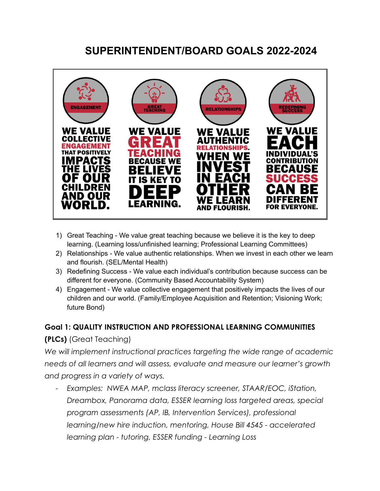# **SUPERINTENDENT/BOARD GOALS 2022-2024**



- 1) Great Teaching We value great teaching because we believe it is the key to deep learning. (Learning loss/unfinished learning; Professional Learning Committees)
- 2) Relationships We value authentic relationships. When we invest in each other we learn and flourish. (SEL/Mental Health)
- 3) Redefining Success We value each individual's contribution because success can be different for everyone. (Community Based Accountability System)
- 4) Engagement We value collective engagement that positively impacts the lives of our children and our world. (Family/Employee Acquisition and Retention; Visioning Work; future Bond)

#### **Goal 1: QUALITY INSTRUCTION AND PROFESSIONAL LEARNING COMMUNITIES**

## **(PLCs)** (Great Teaching)

*We will implement instructional practices targeting the wide range of academic needs of all learners and will assess, evaluate and measure our learner's growth and progress in a variety of ways.*

*- Examples: NWEA MAP, mclass literacy screener, STAAR/EOC, iStation, Dreambox, Panorama data, ESSER learning loss targeted areas, special program assessments (AP, IB, Intervention Services), professional learning/new hire induction, mentoring, House Bill 4545 - accelerated learning plan - tutoring, ESSER funding - Learning Loss*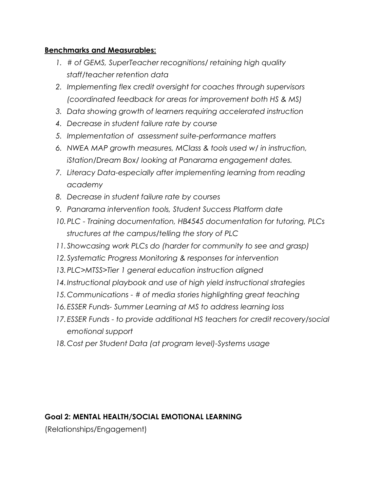#### **Benchmarks and Measurables:**

- *1. # of GEMS, SuperTeacher recognitions/ retaining high quality staff/teacher retention data*
- *2. Implementing flex credit oversight for coaches through supervisors (coordinated feedback for areas for improvement both HS & MS)*
- *3. Data showing growth of learners requiring accelerated instruction*
- *4. Decrease in student failure rate by course*
- *5. Implementation of assessment suite-performance matters*
- *6. NWEA MAP growth measures, MClass & tools used w/ in instruction, iStation/Dream Box/ looking at Panarama engagement dates.*
- *7. Literacy Data-especially after implementing learning from reading academy*
- *8. Decrease in student failure rate by courses*
- *9. Panarama intervention tools, Student Success Platform date*
- *10.PLC Training documentation, HB4545 documentation for tutoring, PLCs structures at the campus/telling the story of PLC*
- *11.Showcasing work PLCs do (harder for community to see and grasp)*
- *12.Systematic Progress Monitoring & responses for intervention*
- *13.PLC>MTSS>Tier 1 general education instruction aligned*
- *14.Instructional playbook and use of high yield instructional strategies*
- *15.Communications # of media stories highlighting great teaching*
- *16.ESSER Funds- Summer Learning at MS to address learning loss*
- *17.ESSER Funds to provide additional HS teachers for credit recovery/social emotional support*
- *18.Cost per Student Data (at program level)-Systems usage*

## **Goal 2: MENTAL HEALTH/SOCIAL EMOTIONAL LEARNING**

(Relationships/Engagement)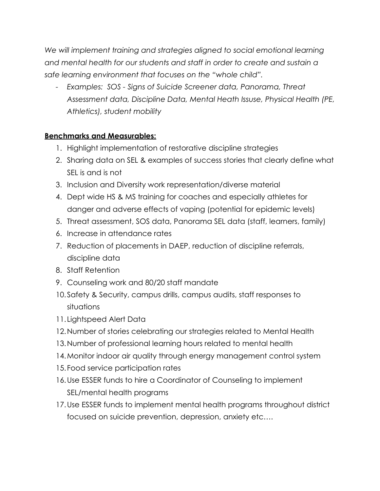*We will implement training and strategies aligned to social emotional learning and mental health for our students and staff in order to create and sustain a safe learning environment that focuses on the "whole child".*

*- Examples: SOS - Signs of Suicide Screener data, Panorama, Threat Assessment data, Discipline Data, Mental Heath Issuse, Physical Health (PE, Athletics), student mobility*

#### **Benchmarks and Measurables:**

- 1. Highlight implementation of restorative discipline strategies
- 2. Sharing data on SEL & examples of success stories that clearly define what SEL is and is not
- 3. Inclusion and Diversity work representation/diverse material
- 4. Dept wide HS & MS training for coaches and especially athletes for danger and adverse effects of vaping (potential for epidemic levels)
- 5. Threat assessment, SOS data, Panorama SEL data (staff, learners, family)
- 6. Increase in attendance rates
- 7. Reduction of placements in DAEP, reduction of discipline referrals, discipline data
- 8. Staff Retention
- 9. Counseling work and 80/20 staff mandate
- 10.Safety & Security, campus drills, campus audits, staff responses to situations
- 11. Lightspeed Alert Data
- 12.Number of stories celebrating our strategies related to Mental Health
- 13.Number of professional learning hours related to mental health
- 14.Monitor indoor air quality through energy management control system
- 15.Food service participation rates
- 16.Use ESSER funds to hire a Coordinator of Counseling to implement SEL/mental health programs
- 17.Use ESSER funds to implement mental health programs throughout district focused on suicide prevention, depression, anxiety etc….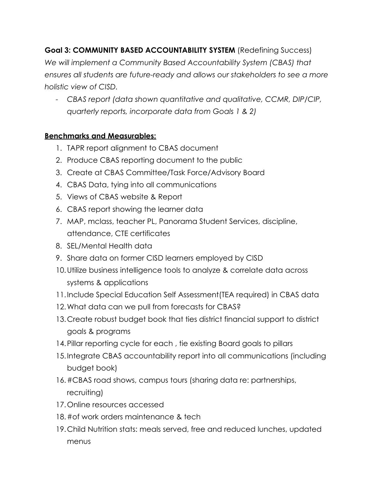## **Goal 3: COMMUNITY BASED ACCOUNTABILITY SYSTEM** (Redefining Success)

*We will implement a Community Based Accountability System (CBAS) that ensures all students are future-ready and allows our stakeholders to see a more holistic view of CISD.*

*- CBAS report (data shown quantitative and qualitative, CCMR, DIP/CIP, quarterly reports, incorporate data from Goals 1 & 2)*

#### **Benchmarks and Measurables:**

- 1. TAPR report alignment to CBAS document
- 2. Produce CBAS reporting document to the public
- 3. Create at CBAS Committee/Task Force/Advisory Board
- 4. CBAS Data, tying into all communications
- 5. Views of CBAS website & Report
- 6. CBAS report showing the learner data
- 7. MAP, mclass, teacher PL, Panorama Student Services, discipline, attendance, CTE certificates
- 8. SEL/Mental Health data
- 9. Share data on former CISD learners employed by CISD
- 10.Utilize business intelligence tools to analyze & correlate data across systems & applications
- 11.Include Special Education Self Assessment(TEA required) in CBAS data
- 12.What data can we pull from forecasts for CBAS?
- 13.Create robust budget book that ties district financial support to district goals & programs
- 14.Pillar reporting cycle for each , tie existing Board goals to pillars
- 15.Integrate CBAS accountability report into all communications (including budget book)
- 16.#CBAS road shows, campus tours (sharing data re: partnerships, recruiting)
- 17.Online resources accessed
- 18.#of work orders maintenance & tech
- 19.Child Nutrition stats: meals served, free and reduced lunches, updated menus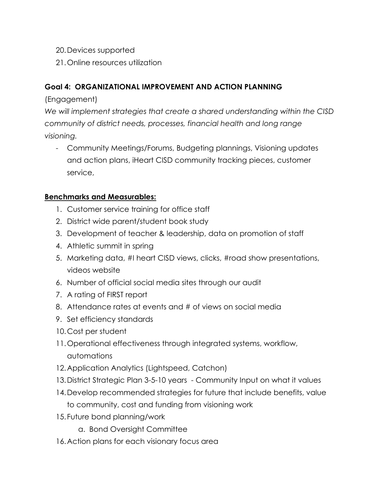- 20.Devices supported
- 21.Online resources utilization

## **Goal 4: ORGANIZATIONAL IMPROVEMENT AND ACTION PLANNING**

(Engagement)

*We will implement strategies that create a shared understanding within the CISD community of district needs, processes, financial health and long range visioning.*

- Community Meetings/Forums, Budgeting plannings, Visioning updates and action plans, iHeart CISD community tracking pieces, customer service,

### **Benchmarks and Measurables:**

- 1. Customer service training for office staff
- 2. District wide parent/student book study
- 3. Development of teacher & leadership, data on promotion of staff
- 4. Athletic summit in spring
- 5. Marketing data, #I heart CISD views, clicks, #road show presentations, videos website
- 6. Number of official social media sites through our audit
- 7. A rating of FIRST report
- 8. Attendance rates at events and # of views on social media
- 9. Set efficiency standards
- 10.Cost per student
- 11.Operational effectiveness through integrated systems, workflow, automations
- 12.Application Analytics (Lightspeed, Catchon)
- 13.District Strategic Plan 3-5-10 years Community Input on what it values
- 14.Develop recommended strategies for future that include benefits, value to community, cost and funding from visioning work
- 15.Future bond planning/work
	- a. Bond Oversight Committee
- 16.Action plans for each visionary focus area